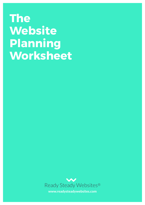# **The Website Planning Worksheet**

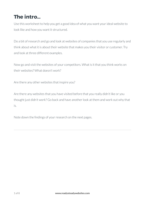# **The intro…**

Use this worksheet to help you get a good idea of what you want your ideal website to look like and how you want it structured.

Do a bit of research and go and look at websites of companies that you use regularly and think about what it is about their website that makes you their visitor or customer. Try and look at three different examples.

Now go and visit the websites of your competitors. What is it that you think works on their websites? What doesn't work?

Are there any other websites that inspire you?

Are there any websites that you have visited before that you really didn't like or you thought just didn't work? Go back and have another look at them and work out why that is.

Note down the findings of your research on the next pages.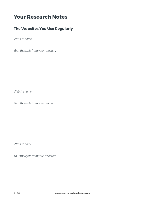# **Your Research Notes**

## **The Websites You Use Regularly**

*Website name:* 

*Your thoughts from your research:* 

*Website name:* 

*Your thoughts from your research:* 

*Website name:*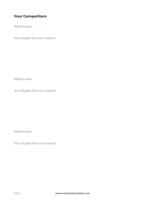## **Your Competitors**

*Website name:* 

*Your thoughts from your research:* 

*Website name:* 

*Your thoughts from your research:* 

*Website name:*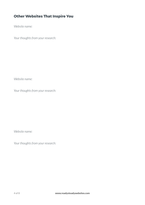# **Other Websites That Inspire You**

*Website name:* 

*Your thoughts from your research:* 

*Website name:* 

*Your thoughts from your research:* 

*Website name:*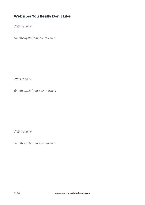## **Websites You Really Don't Like**

*Website name:* 

*Your thoughts from your research:* 

*Website name:* 

*Your thoughts from your research:* 

*Website name:*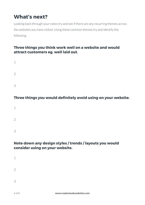# **What's next?**

Looking back through your notes try and see if there are any recurring themes across the websites you have visited. Using these common themes try and identify the following.

#### **Three things you think work well on a website and would attract customers eg. well laid out.**

*1. 2. 3.* 

## **Three things you would definitely avoid using on your website.**

- *1. 2.*
- *3.*

#### **Note down any design styles / trends / layouts you would consider using on your website.**

*1. 2. 3.*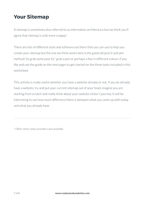# **Your Sitemap**

A sitemap is sometimes also referred to as information architecture but we think you'll agree that sitemap is a bit more snappy!

There are lots of different tools and software out there that you can use to help you create your sitemap but the one we think works best is the good old post it and pen method! So grab some post its,\* grab a pen or perhaps a few in different colours if you like and use the guide on the next pages to get started on the three tasks included in this worksheet.

This activity is really useful whether you have a website already or not. If you do already have a website, try and put your current sitemap out of your head, imagine you are starting from scratch and really think about your website visitor's journey. It will be interesting to see how much difference there is between what you come up with today and what you already have.

\* Other sticky notes providers also available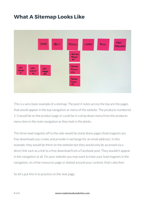# **What A Sitemap Looks Like**



This is a very basic example of a sitemap. The post it notes across the top are the pages that would appear in the top navigation or menu of the website. The products numbered 1-3 would be on the product page or could be in a drop down menu from the products menu item in the main navigation as they look in the photo.

The three lead magnets off to the side would be stand alone pages (lead magnets are free downloads you create and provide in exchange for an email address). In this example, they would be there on the website but they would only be accessed via a direct link such as a link to a free download from a Facebook post. They wouldn't appear in the navigation at all. On your website you may want to have your lead magnets in the navigation, on a free resources page or dotted around your content, that's also fine!

So let's put this in to practice on the next page.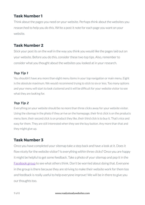# **Task Number 1**

Think about the pages you need on your website. Perhaps think about the websites you researched to help you do this. Write a post it note for each page you want on your website.

## **Task Number 2**

Stick your post its on the wall in the way you think you would like the pages laid out on your website. Before you do this, consider these two top tips. Also, remember to consider what you thought about the websites you looked at in your research.

#### *Top Tip 1*

You shouldn't have any more than eight menu items in your top navigation or main menu. Eight is the absolute maximum. We would recommend trying to stick to six or less. Too many options and your menu will start to look cluttered and it will be difficult for your website visitor to see what they are looking for.

#### *Top Tip 2*

Everything on your website should be no more than three clicks away for your website visitor. Using the sitemap in the photo if they arrive on the homepage, their first click is on the products menu item, their second click is on product they like, their third click is to buy it. That's nice and easy for them. They are still interested when they see the buy button. Any more than that and they might give up.

# **Task Number 3**

Once you have completed your sitemap take a step back and have a look at it. Does it flow nicely for the website visitor? Is everything within three clicks? Once you are happy it might be helpful to get some feedback. Take a photo of your sitemap and pop it in the [Facebook group](https://www.facebook.com/groups/readysteadywebsites/) to see what others think. Don't be worried about doing that. Everyone in the group is there because they are striving to make their website work for them too and feedback is really useful to help everyone improve! We will be in there to give you our thoughts too.